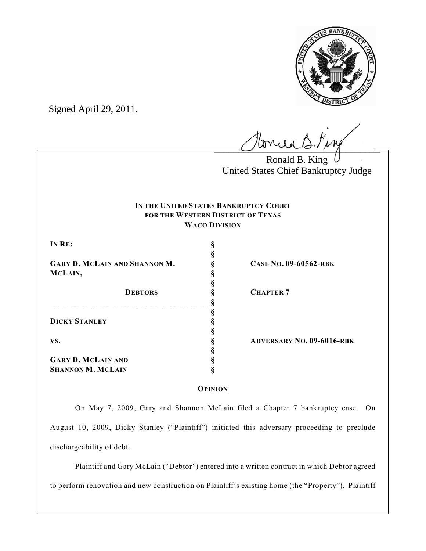

Signed April 29, 2011.

 $l$ onie B.Kine

Ronald B. King United States Chief Bankruptcy Judge

# **IN THE UNITED STATES BANKRUPTCY COURT FOR THE WESTERN DISTRICT OF TEXAS WACO DIVISION**

**§**

**§**

**§**

**§**

**§**

**IN RE: §**

**GARY D. MCLAIN AND SHANNON M. § CASE NO. 09-60562-RBK MCLAIN, §**

**\_\_\_\_\_\_\_\_\_\_\_\_\_\_\_\_\_\_\_\_\_\_\_\_\_\_\_\_\_\_\_\_\_\_\_\_\_\_\_§ DICKY STANLEY §**

**GARY D. MCLAIN AND § SHANNON M. MCLAIN §**

**DEBTORS § CHAPTER 7**

**VS. § ADVERSARY NO. 09-6016-RBK**

**OPINION**

On May 7, 2009, Gary and Shannon McLain filed a Chapter 7 bankruptcy case. On August 10, 2009, Dicky Stanley ("Plaintiff") initiated this adversary proceeding to preclude dischargeability of debt.

Plaintiff and Gary McLain ("Debtor") entered into a written contract in which Debtor agreed to perform renovation and new construction on Plaintiff's existing home (the "Property"). Plaintiff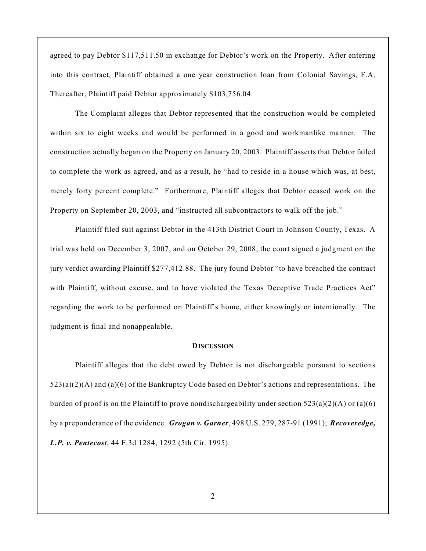agreed to pay Debtor \$117,511.50 in exchange for Debtor's work on the Property. After entering into this contract, Plaintiff obtained a one year construction loan from Colonial Savings, F.A. Thereafter, Plaintiff paid Debtor approximately \$103,756.04.

The Complaint alleges that Debtor represented that the construction would be completed within six to eight weeks and would be performed in a good and workmanlike manner. The construction actually began on the Property on January 20, 2003. Plaintiff asserts that Debtor failed to complete the work as agreed, and as a result, he "had to reside in a house which was, at best, merely forty percent complete." Furthermore, Plaintiff alleges that Debtor ceased work on the Property on September 20, 2003, and "instructed all subcontractors to walk off the job."

Plaintiff filed suit against Debtor in the 413th District Court in Johnson County, Texas. A trial was held on December 3, 2007, and on October 29, 2008, the court signed a judgment on the jury verdict awarding Plaintiff \$277,412.88. The jury found Debtor "to have breached the contract with Plaintiff, without excuse, and to have violated the Texas Deceptive Trade Practices Act" regarding the work to be performed on Plaintiff's home, either knowingly or intentionally. The judgment is final and nonappealable.

#### **DISCUSSION**

Plaintiff alleges that the debt owed by Debtor is not dischargeable pursuant to sections  $523(a)(2)(A)$  and  $(a)(6)$  of the Bankruptcy Code based on Debtor's actions and representations. The burden of proof is on the Plaintiff to prove nondischargeability under section  $523(a)(2)(A)$  or  $(a)(6)$ by a preponderance of the evidence. *Grogan v. Garner*, 498 U.S. 279, 287-91 (1991); *Recoveredge, L.P. v. Pentecost*, 44 F.3d 1284, 1292 (5th Cir. 1995).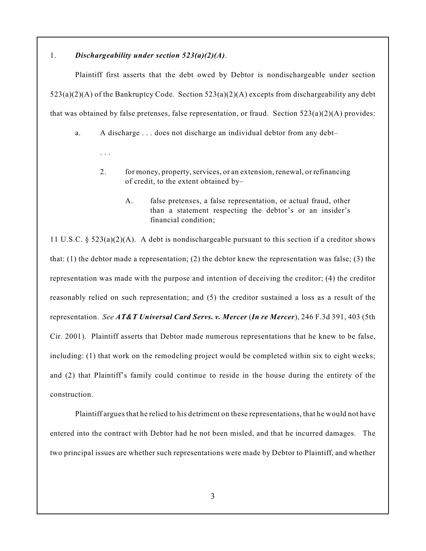## 1. *Dischargeability under section 523(a)(2)(A)*.

. . .

Plaintiff first asserts that the debt owed by Debtor is nondischargeable under section  $523(a)(2)(A)$  of the Bankruptcy Code. Section  $523(a)(2)(A)$  excepts from dischargeability any debt that was obtained by false pretenses, false representation, or fraud. Section 523(a)(2)(A) provides:

a. A discharge . . . does not discharge an individual debtor from any debt–

- 2. for money, property, services, or an extension, renewal, or refinancing of credit, to the extent obtained by–
	- A. false pretenses, a false representation, or actual fraud, other than a statement respecting the debtor's or an insider's financial condition;

11 U.S.C. §  $523(a)(2)(A)$ . A debt is nondischargeable pursuant to this section if a creditor shows that: (1) the debtor made a representation; (2) the debtor knew the representation was false; (3) the representation was made with the purpose and intention of deceiving the creditor; (4) the creditor reasonably relied on such representation; and (5) the creditor sustained a loss as a result of the representation. *See AT&T Universal Card Servs. v. Mercer* (*In re Mercer*), 246 F.3d 391, 403 (5th Cir. 2001). Plaintiff asserts that Debtor made numerous representations that he knew to be false, including: (1) that work on the remodeling project would be completed within six to eight weeks; and (2) that Plaintiff's family could continue to reside in the house during the entirety of the construction.

Plaintiff argues that he relied to his detriment on these representations, that he would not have entered into the contract with Debtor had he not been misled, and that he incurred damages. The two principal issues are whether such representations were made by Debtor to Plaintiff, and whether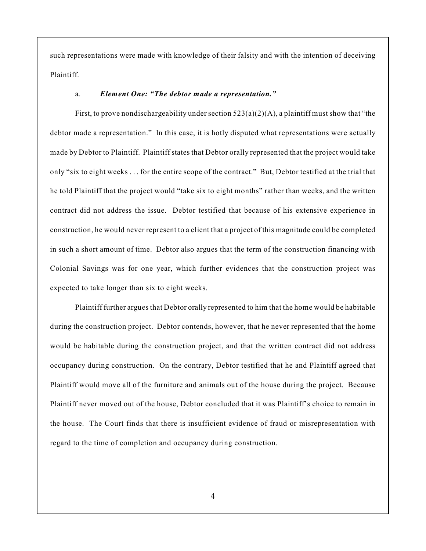such representations were made with knowledge of their falsity and with the intention of deceiving Plaintiff.

#### a. *Element One: "The debtor made a representation."*

First, to prove nondischargeability under section  $523(a)(2)(A)$ , a plaintiff must show that "the debtor made a representation." In this case, it is hotly disputed what representations were actually made by Debtor to Plaintiff. Plaintiff states that Debtor orally represented that the project would take only "six to eight weeks . . . for the entire scope of the contract." But, Debtor testified at the trial that he told Plaintiff that the project would "take six to eight months" rather than weeks, and the written contract did not address the issue. Debtor testified that because of his extensive experience in construction, he would never represent to a client that a project of this magnitude could be completed in such a short amount of time. Debtor also argues that the term of the construction financing with Colonial Savings was for one year, which further evidences that the construction project was expected to take longer than six to eight weeks.

Plaintiff further argues that Debtor orally represented to him that the home would be habitable during the construction project. Debtor contends, however, that he never represented that the home would be habitable during the construction project, and that the written contract did not address occupancy during construction. On the contrary, Debtor testified that he and Plaintiff agreed that Plaintiff would move all of the furniture and animals out of the house during the project. Because Plaintiff never moved out of the house, Debtor concluded that it was Plaintiff's choice to remain in the house. The Court finds that there is insufficient evidence of fraud or misrepresentation with regard to the time of completion and occupancy during construction.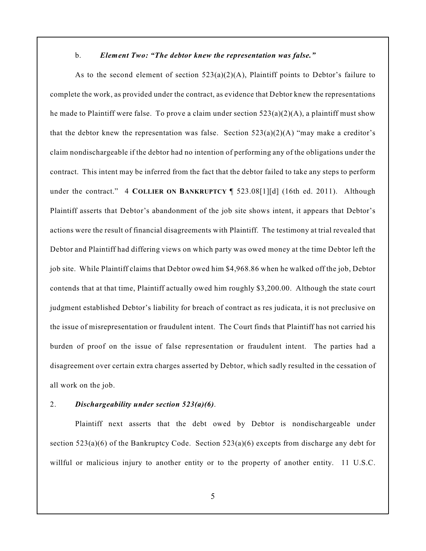#### b. *Element Two: "The debtor knew the representation was false."*

As to the second element of section  $523(a)(2)(A)$ , Plaintiff points to Debtor's failure to complete the work, as provided under the contract, as evidence that Debtor knew the representations he made to Plaintiff were false. To prove a claim under section  $523(a)(2)(A)$ , a plaintiff must show that the debtor knew the representation was false. Section  $523(a)(2)(A)$  "may make a creditor's claim nondischargeable if the debtor had no intention of performing any of the obligations under the contract. This intent may be inferred from the fact that the debtor failed to take any steps to perform under the contract." 4 **COLLIER ON BANKRUPTCY** ¶ 523.08[1][d] (16th ed. 2011). Although Plaintiff asserts that Debtor's abandonment of the job site shows intent, it appears that Debtor's actions were the result of financial disagreements with Plaintiff. The testimony at trial revealed that Debtor and Plaintiff had differing views on which party was owed money at the time Debtor left the job site. While Plaintiff claims that Debtor owed him \$4,968.86 when he walked off the job, Debtor contends that at that time, Plaintiff actually owed him roughly \$3,200.00. Although the state court judgment established Debtor's liability for breach of contract as res judicata, it is not preclusive on the issue of misrepresentation or fraudulent intent. The Court finds that Plaintiff has not carried his burden of proof on the issue of false representation or fraudulent intent. The parties had a disagreement over certain extra charges asserted by Debtor, which sadly resulted in the cessation of all work on the job.

## 2. *Dischargeability under section 523(a)(6)*.

Plaintiff next asserts that the debt owed by Debtor is nondischargeable under section  $523(a)(6)$  of the Bankruptcy Code. Section  $523(a)(6)$  excepts from discharge any debt for willful or malicious injury to another entity or to the property of another entity. 11 U.S.C.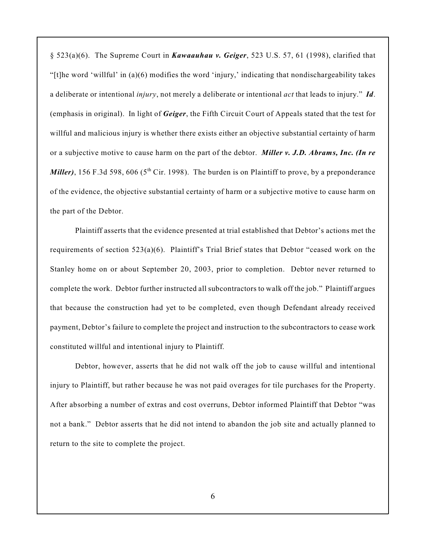§ 523(a)(6). The Supreme Court in *Kawaauhau v. Geiger*, 523 U.S. 57, 61 (1998), clarified that "[t]he word 'willful' in (a)(6) modifies the word 'injury,' indicating that nondischargeability takes a deliberate or intentional *injury*, not merely a deliberate or intentional *act* that leads to injury." *Id*. (emphasis in original). In light of *Geiger*, the Fifth Circuit Court of Appeals stated that the test for willful and malicious injury is whether there exists either an objective substantial certainty of harm or a subjective motive to cause harm on the part of the debtor. *Miller v. J.D. Abrams, Inc. (In re Miller*), 156 F.3d 598, 606 ( $5<sup>th</sup>$  Cir. 1998). The burden is on Plaintiff to prove, by a preponderance of the evidence, the objective substantial certainty of harm or a subjective motive to cause harm on the part of the Debtor.

Plaintiff asserts that the evidence presented at trial established that Debtor's actions met the requirements of section 523(a)(6). Plaintiff's Trial Brief states that Debtor "ceased work on the Stanley home on or about September 20, 2003, prior to completion. Debtor never returned to complete the work. Debtor further instructed all subcontractors to walk off the job." Plaintiff argues that because the construction had yet to be completed, even though Defendant already received payment, Debtor's failure to complete the project and instruction to the subcontractors to cease work constituted willful and intentional injury to Plaintiff.

Debtor, however, asserts that he did not walk off the job to cause willful and intentional injury to Plaintiff, but rather because he was not paid overages for tile purchases for the Property. After absorbing a number of extras and cost overruns, Debtor informed Plaintiff that Debtor "was not a bank." Debtor asserts that he did not intend to abandon the job site and actually planned to return to the site to complete the project.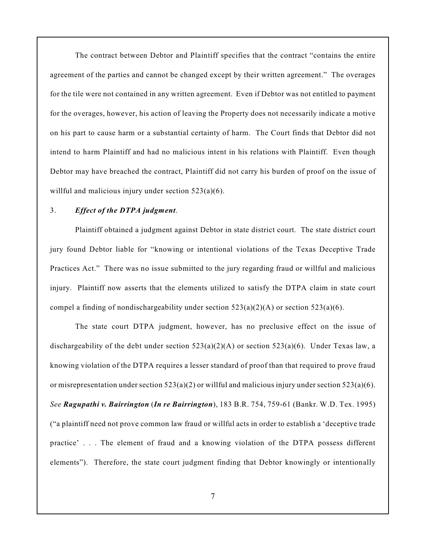The contract between Debtor and Plaintiff specifies that the contract "contains the entire agreement of the parties and cannot be changed except by their written agreement." The overages for the tile were not contained in any written agreement. Even if Debtor was not entitled to payment for the overages, however, his action of leaving the Property does not necessarily indicate a motive on his part to cause harm or a substantial certainty of harm. The Court finds that Debtor did not intend to harm Plaintiff and had no malicious intent in his relations with Plaintiff. Even though Debtor may have breached the contract, Plaintiff did not carry his burden of proof on the issue of willful and malicious injury under section 523(a)(6).

## 3. *Effect of the DTPA judgment*.

Plaintiff obtained a judgment against Debtor in state district court. The state district court jury found Debtor liable for "knowing or intentional violations of the Texas Deceptive Trade Practices Act." There was no issue submitted to the jury regarding fraud or willful and malicious injury. Plaintiff now asserts that the elements utilized to satisfy the DTPA claim in state court compel a finding of nondischargeability under section  $523(a)(2)(A)$  or section  $523(a)(6)$ .

The state court DTPA judgment, however, has no preclusive effect on the issue of dischargeability of the debt under section 523(a)(2)(A) or section 523(a)(6). Under Texas law, a knowing violation of the DTPA requires a lesser standard of proof than that required to prove fraud or misrepresentation under section  $523(a)(2)$  or willful and malicious injury under section  $523(a)(6)$ . *See Ragupathi v. Bairrington* (*In re Bairrington*), 183 B.R. 754, 759-61 (Bankr. W.D. Tex. 1995) ("a plaintiff need not prove common law fraud or willful acts in order to establish a 'deceptive trade practice' . . . The element of fraud and a knowing violation of the DTPA possess different elements"). Therefore, the state court judgment finding that Debtor knowingly or intentionally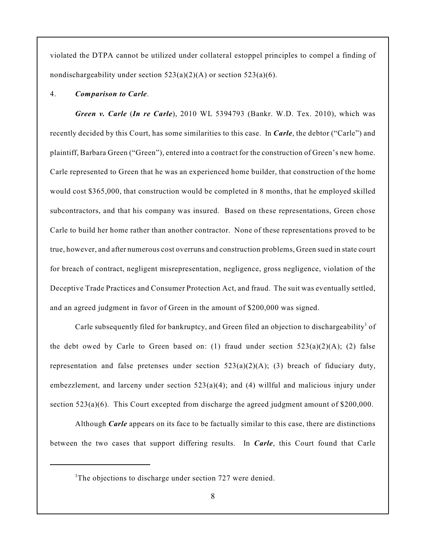violated the DTPA cannot be utilized under collateral estoppel principles to compel a finding of nondischargeability under section  $523(a)(2)(A)$  or section  $523(a)(6)$ .

#### 4. *Comparison to Carle*.

*Green v. Carle* (*In re Carle*), 2010 WL 5394793 (Bankr. W.D. Tex. 2010), which was recently decided by this Court, has some similarities to this case. In *Carle*, the debtor ("Carle") and plaintiff, Barbara Green ("Green"), entered into a contract for the construction of Green's new home. Carle represented to Green that he was an experienced home builder, that construction of the home would cost \$365,000, that construction would be completed in 8 months, that he employed skilled subcontractors, and that his company was insured. Based on these representations, Green chose Carle to build her home rather than another contractor. None of these representations proved to be true, however, and after numerous cost overruns and construction problems, Green sued in state court for breach of contract, negligent misrepresentation, negligence, gross negligence, violation of the Deceptive Trade Practices and Consumer Protection Act, and fraud. The suit was eventually settled, and an agreed judgment in favor of Green in the amount of \$200,000 was signed.

Carle subsequently filed for bankruptcy, and Green filed an objection to dischargeability<sup>1</sup> of the debt owed by Carle to Green based on: (1) fraud under section  $523(a)(2)(A)$ ; (2) false representation and false pretenses under section  $523(a)(2)(A)$ ; (3) breach of fiduciary duty, embezzlement, and larceny under section  $523(a)(4)$ ; and (4) willful and malicious injury under section 523(a)(6). This Court excepted from discharge the agreed judgment amount of \$200,000.

Although *Carle* appears on its face to be factually similar to this case, there are distinctions between the two cases that support differing results. In *Carle*, this Court found that Carle

<sup>&</sup>lt;sup>1</sup>The objections to discharge under section  $727$  were denied.